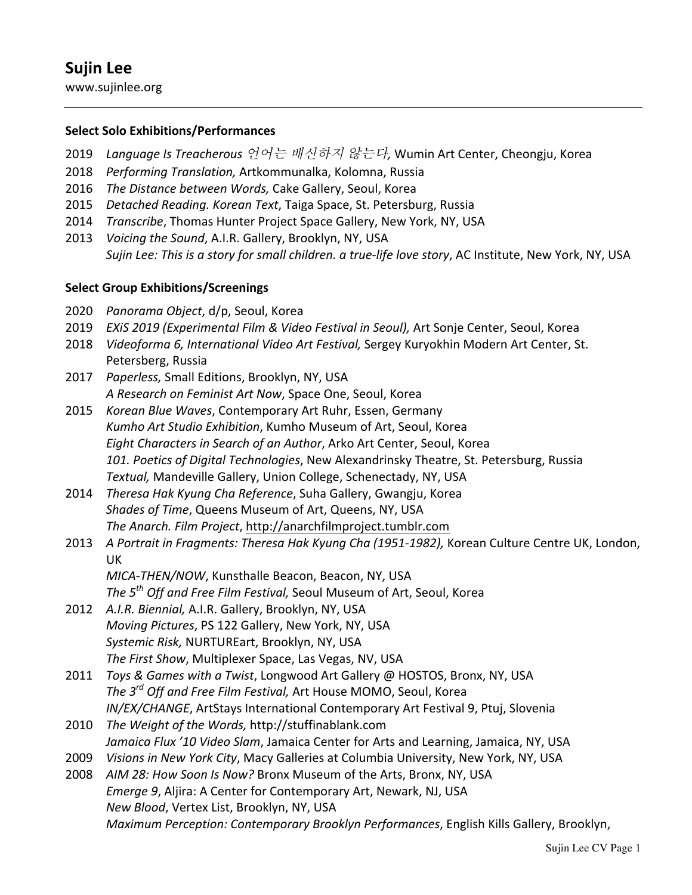www.sujinlee.org

### **Select Solo!Exhibitions/Performances!**

- 2019 *Language'Is'Treacherous* 언어는 배신하지 않는다*,'*Wumin-Art-Center,-Cheongju,-Korea
- 2018 *Performing Translation, Artkommunalka, Kolomna, Russia*
- 2016 *The Distance between Words, Cake Gallery, Seoul, Korea*
- 2015 *Detached Reading. Korean Text*, Taiga Space, St. Petersburg, Russia
- 2014 *Transcribe*, Thomas Hunter Project Space Gallery, New York, NY, USA
- 2013 *Voicing the Sound, A.I.R. Gallery, Brooklyn, NY, USA Sujin Lee: This is a story for small children. a true-life love story, AC Institute, New York, NY, USA*

### **Select Group!Exhibitions/Screenings**

- 2020 *Panorama Object*, d/p, Seoul, Korea
- 2019 *EXiS 2019 (Experimental Film & Video Festival in Seoul), Art Sonje Center, Seoul, Korea*
- 2018 *Videoforma 6, International Video Art Festival, Sergey Kuryokhin Modern Art Center, St.* Petersberg, Russia
- 2017 Paperless, Small Editions, Brooklyn, NY, USA A Research on Feminist Art Now, Space One, Seoul, Korea
- 2015 *Korean Blue Waves*, Contemporary Art Ruhr, Essen, Germany Kumho Art Studio Exhibition, Kumho Museum of Art, Seoul, Korea *Eight Characters in Search of an Author, Arko Art Center, Seoul, Korea* 101. Poetics of Digital Technologies, New Alexandrinsky Theatre, St. Petersburg, Russia **Textual, Mandeville Gallery, Union College, Schenectady, NY, USA**
- 2014 *Theresa Hak Kyung Cha Reference*, Suha Gallery, Gwangju, Korea Shades of Time, Queens Museum of Art, Queens, NY, USA The Anarch. Film Project, http://anarchfilmproject.tumblr.com
- 2013 *A Portrait in Fragments: Theresa Hak Kyung Cha (1951-1982), Korean Culture Centre UK, London,* UK
	- *MICA-THEN/NOW*, Kunsthalle Beacon, Beacon, NY, USA *The 5<sup>th</sup> Off and Free Film Festival, Seoul Museum of Art, Seoul, Korea*
- 2012 A.I.R. Biennial, A.I.R. Gallery, Brooklyn, NY, USA *Moving Pictures*, PS 122 Gallery, New York, NY, USA Systemic Risk, NURTUREart, Brooklyn, NY, USA The First Show, Multiplexer Space, Las Vegas, NV, USA
- 2011 *Toys & Games with a Twist*, Longwood Art Gallery @ HOSTOS, Bronx, NY, USA *The 3<sup>rd</sup> Off and Free Film Festival,* Art House MOMO, Seoul, Korea *IN/EX/CHANGE*, ArtStays International Contemporary Art Festival 9, Ptuj, Slovenia
- 2010 *The'Weight'of'the'Words,'*http://stuffinablank.com *Jamaica Flux'10 Video Slam*, Jamaica Center for Arts and Learning, Jamaica, NY, USA
- 2009 *Visions in New York City*, Macy Galleries at Columbia University, New York, NY, USA
- 2008 AIM 28: How Soon Is Now? Bronx Museum of the Arts, Bronx, NY, USA *Emerge 9, Aljira: A Center for Contemporary Art, Newark, NJ, USA New Blood*, Vertex List, Brooklyn, NY, USA *Maximum Perception: Contemporary Brooklyn Performances*, English Kills Gallery, Brooklyn,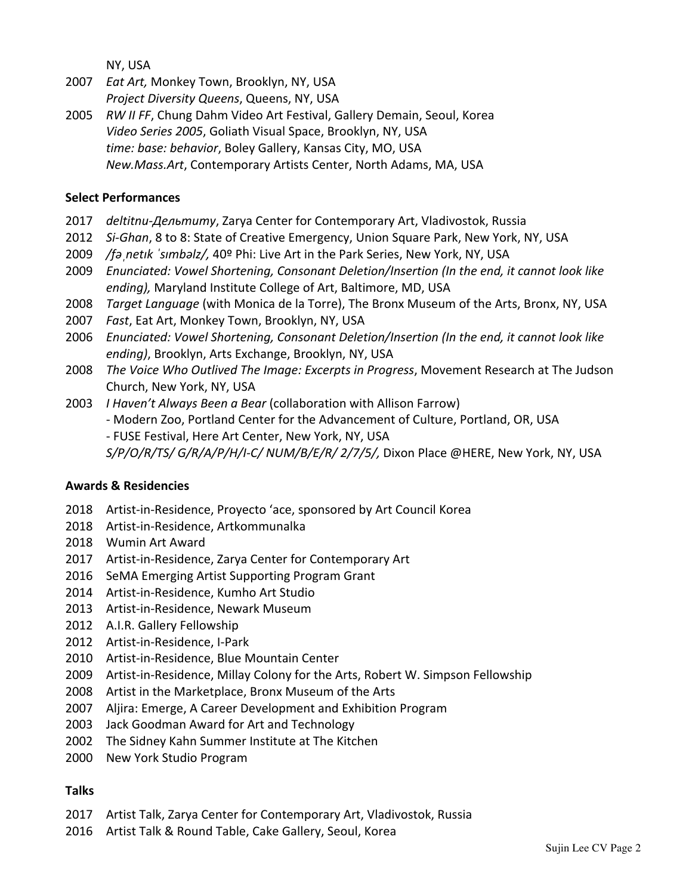NY, USA

- 2007 *Eat Art, Monkey Town, Brooklyn, NY, USA Project Diversity Queens, Queens, NY, USA*
- 2005 *RW II FF, Chung Dahm Video Art Festival, Gallery Demain, Seoul, Korea* Video Series 2005, Goliath Visual Space, Brooklyn, NY, USA time: base: behavior, Boley Gallery, Kansas City, MO, USA *New.Mass.Art, Contemporary Artists Center, North Adams, MA, USA*

#### **Select Performances**

- 2017 *deltitnu-Дельтиту*, Zarya Center for Contemporary Art, Vladivostok, Russia
- 2012 *Si-Ghan*, 8 to 8: State of Creative Emergency, Union Square Park, New York, NY, USA
- 2009 /fa netik 'simbalz/, 40º Phi: Live Art in the Park Series, New York, NY, USA
- 2009 *Enunciated:'Vowel'Shortening,'Consonant'Deletion/Insertion'(In'the'end,'it'cannot'look'like'* ending), Maryland Institute College of Art, Baltimore, MD, USA
- 2008 *Target Language* (with Monica de la Torre), The Bronx Museum of the Arts, Bronx, NY, USA
- 2007 Fast, Eat Art, Monkey Town, Brooklyn, NY, USA
- 2006 *Enunciated:'Vowel'Shortening,'Consonant'Deletion/Insertion'(In'the'end,'it'cannot'look'like'* ending), Brooklyn, Arts Exchange, Brooklyn, NY, USA
- 2008 *The Voice Who Outlived The Image: Excerpts in Progress*, Movement Research at The Judson Church, New York, NY, USA
- 2003 *I Haven't Always Been a Bear* (collaboration with Allison Farrow)
	- Modern Zoo, Portland Center for the Advancement of Culture, Portland, OR, USA
	- FUSE Festival, Here Art Center, New York, NY, USA

S/P/O/R/TS/G/R/A/P/H/I-C/ NUM/B/E/R/ 2/7/5/, Dixon Place @HERE, New York, NY, USA

#### **Awards!&!Residencies**

- 2018 Artist-in-Residence, Proyecto 'ace, sponsored by Art Council Korea
- 2018 Artist-in-Residence, Artkommunalka
- 2018 Wumin-Art-Award
- 2017 Artist-in-Residence, Zarya Center for Contemporary Art
- 2016 SeMA Emerging Artist Supporting Program Grant
- 2014 Artist-in-Residence, Kumho Art Studio
- 2013 Artist-in-Residence, Newark Museum
- 2012 A.I.R. Gallery Fellowship
- 2012 Artist-in-Residence, I-Park
- 2010 Artist-in-Residence, Blue Mountain Center
- 2009 Artist-in-Residence, Millay Colony for the Arts, Robert W. Simpson Fellowship
- 2008 Artist in the Marketplace, Bronx Museum of the Arts
- 2007 Aljira: Emerge, A Career Development and Exhibition Program
- 2003 Jack Goodman Award for Art and Technology
- 2002 The Sidney Kahn Summer Institute at The Kitchen
- 2000 New York Studio Program

# **Talks**

- 2017 Artist Talk, Zarya Center for Contemporary Art, Vladivostok, Russia
- 2016 Artist Talk & Round Table, Cake Gallery, Seoul, Korea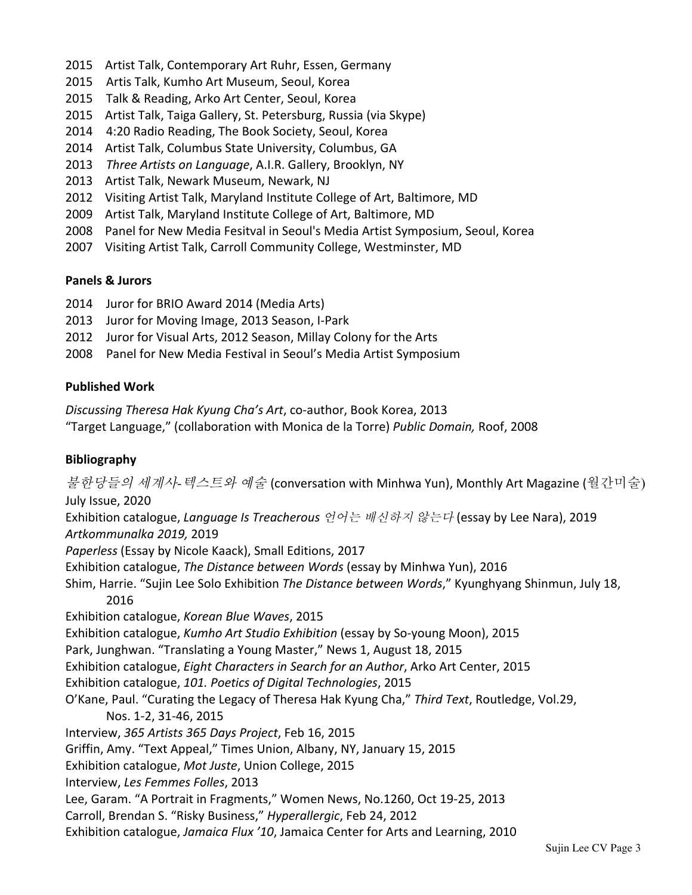- 2015 Artist Talk, Contemporary Art Ruhr, Essen, Germany
- 2015 Artis Talk, Kumho Art Museum, Seoul, Korea
- 2015 Talk & Reading, Arko Art Center, Seoul, Korea
- 2015 Artist Talk, Taiga Gallery, St. Petersburg, Russia (via Skype)
- 2014 4:20 Radio Reading, The Book Society, Seoul, Korea
- 2014 Artist Talk, Columbus State University, Columbus, GA
- 2013 *Three Artists on Language*, A.I.R. Gallery, Brooklyn, NY
- 2013 Artist Talk, Newark Museum, Newark, NJ
- 2012 Visiting Artist Talk, Maryland Institute College of Art, Baltimore, MD
- 2009 Artist Talk, Maryland Institute College of Art, Baltimore, MD
- 2008 Panel for New Media Fesitval in Seoul's Media Artist Symposium, Seoul, Korea
- 2007 Visiting Artist Talk, Carroll Community College, Westminster, MD

# **Panels!&!Jurors**

- 2014 Juror for BRIO Award 2014 (Media Arts)
- 2013 Juror for Moving Image, 2013 Season, I-Park
- 2012 Juror for Visual Arts, 2012 Season, Millay Colony for the Arts
- 2008 Panel for New Media Festival in Seoul's Media Artist Symposium

### **Published!Work**

**Discussing Theresa Hak Kyung Cha's Art, co-author, Book Korea, 2013** "Target-Language,"-(collaboration-with-Monica-de-la-Torre)-*Public'Domain,* Roof,-2008

# **Bibliography**

*불한당들의 세계사-텍스트와 예술* (conversation with Minhwa Yun), Monthly Art Magazine (월간미술) July Issue, 2020 Exhibition-catalogue,-*Language'Is'Treacherous'*언어는 배신하지 않는다 (essay-by-Lee-Nara),-2019 *Artkommunalka 2019,* 2019 *Paperless* (Essay by Nicole Kaack), Small Editions, 2017 Exhibition catalogue, *The Distance between Words* (essay by Minhwa Yun), 2016 Shim, Harrie. "Sujin Lee Solo Exhibition *The Distance between Words*," Kyunghyang Shinmun, July 18, 2016 Exhibition-catalogue,-*Korean'Blue'Waves*,-2015- Exhibition catalogue, *Kumho Art Studio Exhibition* (essay by So-young Moon), 2015 Park, Junghwan. "Translating a Young Master," News 1, August 18, 2015 Exhibition catalogue, *Eight Characters in Search for an Author*, Arko Art Center, 2015 Exhibition-catalogue,-*101.'Poetics'of'Digital'Technologies*,-2015 O'Kane, Paul. "Curating the Legacy of Theresa Hak Kyung Cha," Third Text, Routledge, Vol.29, Nos. 1-2, 31-46, 2015 Interview, 365 Artists 365 Days Project, Feb 16, 2015 Griffin, Amy. "Text Appeal," Times Union, Albany, NY, January 15, 2015 Exhibition-catalogue,-*Mot'Juste*, Union-College,-2015- Interview, Les Femmes Folles, 2013 Lee, Garam. "A Portrait in Fragments," Women News, No.1260, Oct 19-25, 2013 Carroll,-Brendan S.-"Risky-Business,"-*Hyperallergic*, Feb-24, 2012 Exhibition catalogue, Jamaica Flux '10, Jamaica Center for Arts and Learning, 2010